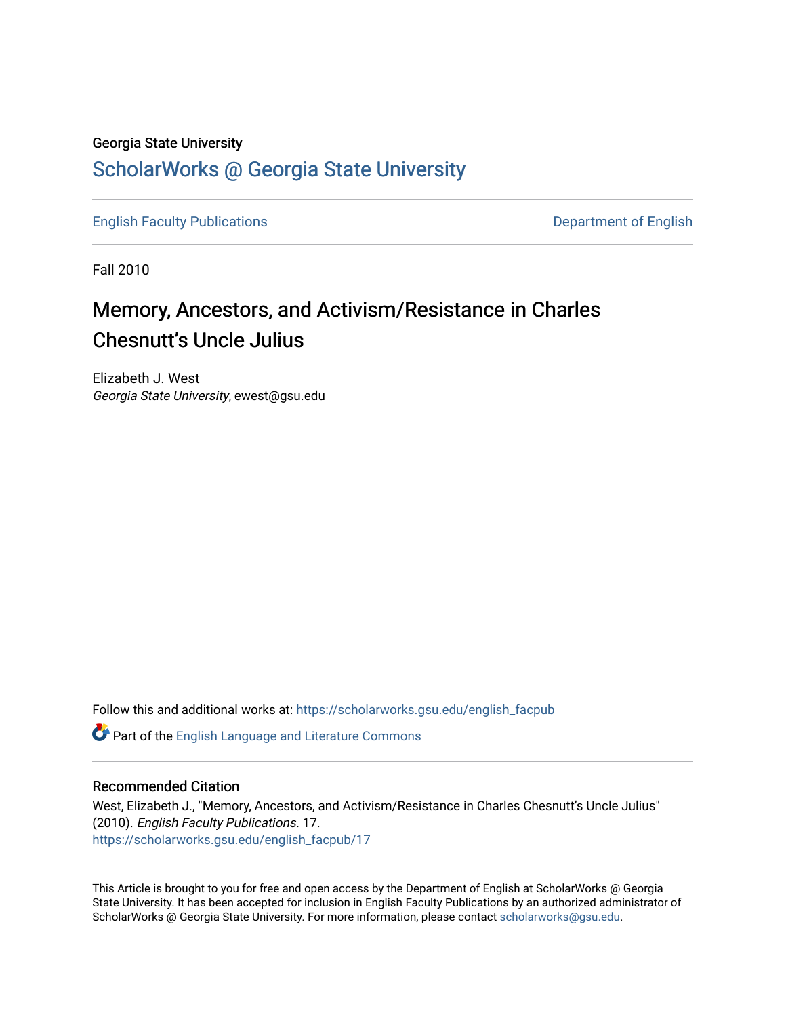### Georgia State University [ScholarWorks @ Georgia State University](https://scholarworks.gsu.edu/)

[English Faculty Publications](https://scholarworks.gsu.edu/english_facpub) **Department of English** 

Fall 2010

# Memory, Ancestors, and Activism/Resistance in Charles Chesnutt's Uncle Julius

Elizabeth J. West Georgia State University, ewest@gsu.edu

Follow this and additional works at: [https://scholarworks.gsu.edu/english\\_facpub](https://scholarworks.gsu.edu/english_facpub?utm_source=scholarworks.gsu.edu%2Fenglish_facpub%2F17&utm_medium=PDF&utm_campaign=PDFCoverPages)

Part of the [English Language and Literature Commons](http://network.bepress.com/hgg/discipline/455?utm_source=scholarworks.gsu.edu%2Fenglish_facpub%2F17&utm_medium=PDF&utm_campaign=PDFCoverPages)

#### Recommended Citation

West, Elizabeth J., "Memory, Ancestors, and Activism/Resistance in Charles Chesnutt's Uncle Julius" (2010). English Faculty Publications. 17. [https://scholarworks.gsu.edu/english\\_facpub/17](https://scholarworks.gsu.edu/english_facpub/17?utm_source=scholarworks.gsu.edu%2Fenglish_facpub%2F17&utm_medium=PDF&utm_campaign=PDFCoverPages) 

This Article is brought to you for free and open access by the Department of English at ScholarWorks @ Georgia State University. It has been accepted for inclusion in English Faculty Publications by an authorized administrator of ScholarWorks @ Georgia State University. For more information, please contact [scholarworks@gsu.edu](mailto:scholarworks@gsu.edu).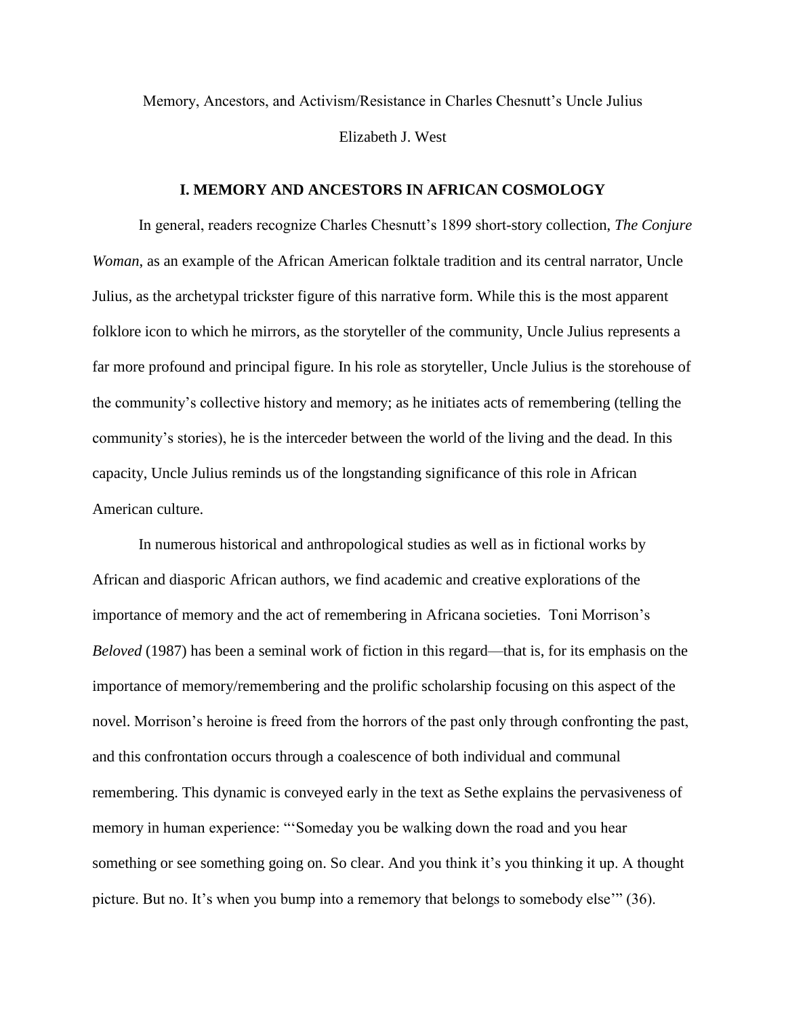Memory, Ancestors, and Activism/Resistance in Charles Chesnutt's Uncle Julius Elizabeth J. West

#### **I. MEMORY AND ANCESTORS IN AFRICAN COSMOLOGY**

In general, readers recognize Charles Chesnutt's 1899 short-story collection, *The Conjure Woman*, as an example of the African American folktale tradition and its central narrator, Uncle Julius, as the archetypal trickster figure of this narrative form. While this is the most apparent folklore icon to which he mirrors, as the storyteller of the community, Uncle Julius represents a far more profound and principal figure. In his role as storyteller, Uncle Julius is the storehouse of the community's collective history and memory; as he initiates acts of remembering (telling the community's stories), he is the interceder between the world of the living and the dead. In this capacity, Uncle Julius reminds us of the longstanding significance of this role in African American culture.

In numerous historical and anthropological studies as well as in fictional works by African and diasporic African authors, we find academic and creative explorations of the importance of memory and the act of remembering in Africana societies. Toni Morrison's *Beloved* (1987) has been a seminal work of fiction in this regard—that is, for its emphasis on the importance of memory/remembering and the prolific scholarship focusing on this aspect of the novel. Morrison's heroine is freed from the horrors of the past only through confronting the past, and this confrontation occurs through a coalescence of both individual and communal remembering. This dynamic is conveyed early in the text as Sethe explains the pervasiveness of memory in human experience: "'Someday you be walking down the road and you hear something or see something going on. So clear. And you think it's you thinking it up. A thought picture. But no. It's when you bump into a rememory that belongs to somebody else'" (36).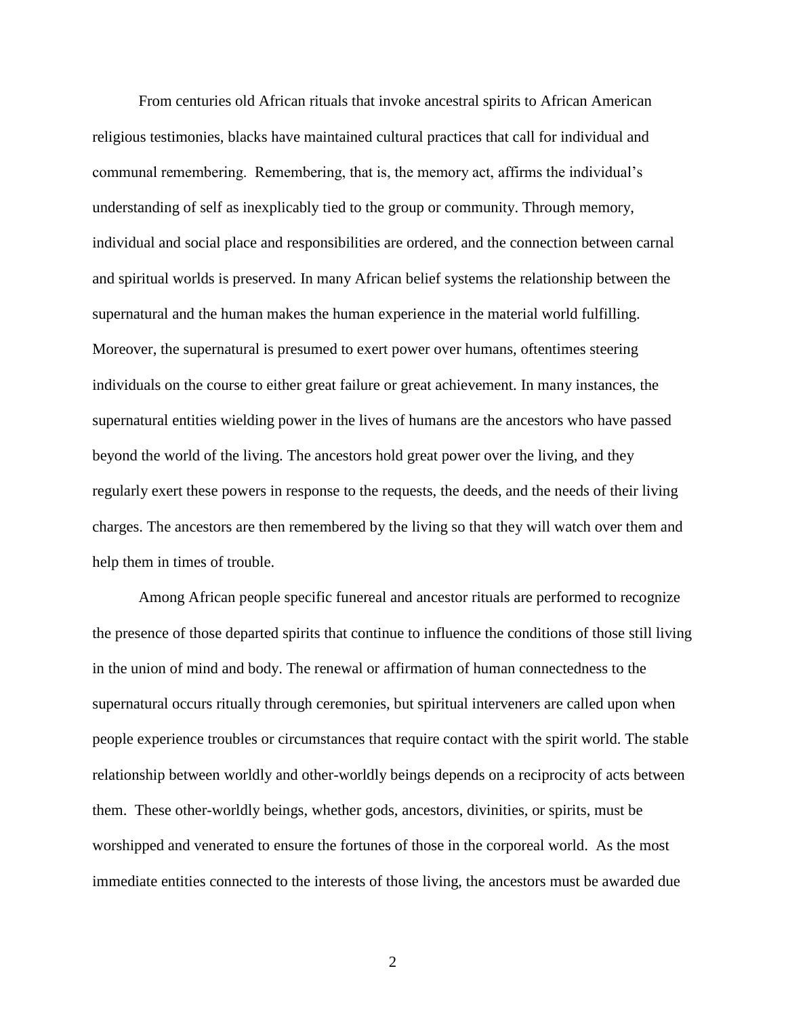From centuries old African rituals that invoke ancestral spirits to African American religious testimonies, blacks have maintained cultural practices that call for individual and communal remembering. Remembering, that is, the memory act, affirms the individual's understanding of self as inexplicably tied to the group or community. Through memory, individual and social place and responsibilities are ordered, and the connection between carnal and spiritual worlds is preserved. In many African belief systems the relationship between the supernatural and the human makes the human experience in the material world fulfilling. Moreover, the supernatural is presumed to exert power over humans, oftentimes steering individuals on the course to either great failure or great achievement. In many instances, the supernatural entities wielding power in the lives of humans are the ancestors who have passed beyond the world of the living. The ancestors hold great power over the living, and they regularly exert these powers in response to the requests, the deeds, and the needs of their living charges. The ancestors are then remembered by the living so that they will watch over them and help them in times of trouble.

Among African people specific funereal and ancestor rituals are performed to recognize the presence of those departed spirits that continue to influence the conditions of those still living in the union of mind and body. The renewal or affirmation of human connectedness to the supernatural occurs ritually through ceremonies, but spiritual interveners are called upon when people experience troubles or circumstances that require contact with the spirit world. The stable relationship between worldly and other-worldly beings depends on a reciprocity of acts between them. These other-worldly beings, whether gods, ancestors, divinities, or spirits, must be worshipped and venerated to ensure the fortunes of those in the corporeal world. As the most immediate entities connected to the interests of those living, the ancestors must be awarded due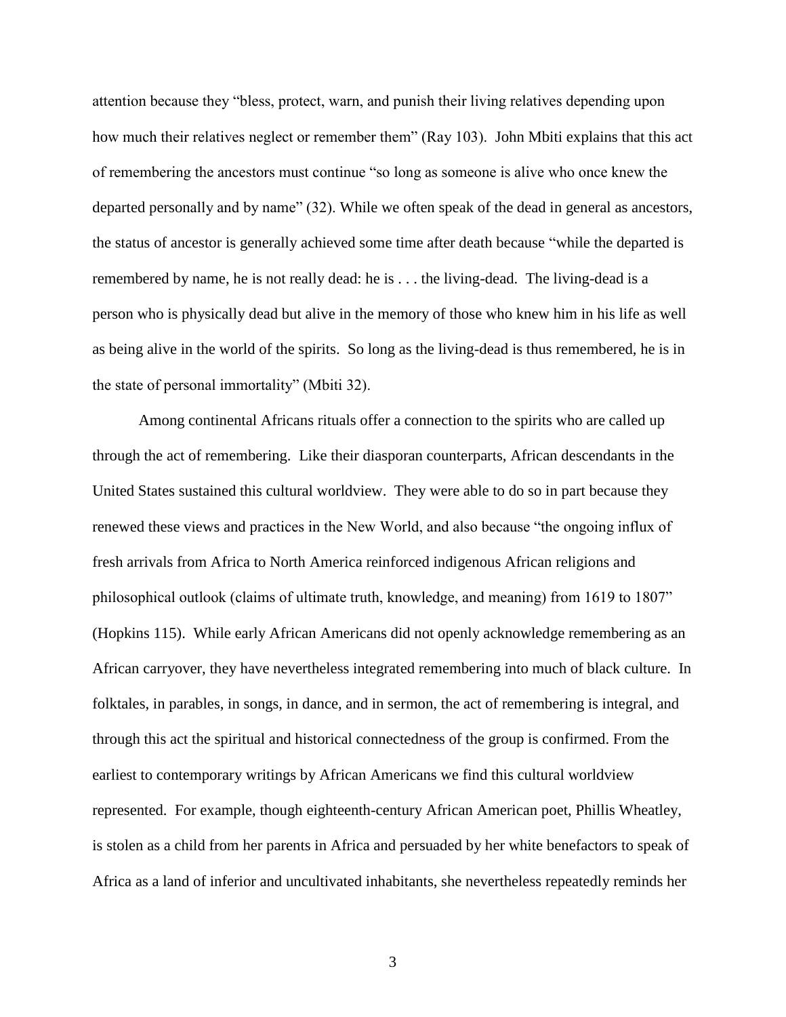attention because they "bless, protect, warn, and punish their living relatives depending upon how much their relatives neglect or remember them" (Ray 103). John Mbiti explains that this act of remembering the ancestors must continue "so long as someone is alive who once knew the departed personally and by name" (32). While we often speak of the dead in general as ancestors, the status of ancestor is generally achieved some time after death because "while the departed is remembered by name, he is not really dead: he is . . . the living-dead. The living-dead is a person who is physically dead but alive in the memory of those who knew him in his life as well as being alive in the world of the spirits. So long as the living-dead is thus remembered, he is in the state of personal immortality" (Mbiti 32).

Among continental Africans rituals offer a connection to the spirits who are called up through the act of remembering. Like their diasporan counterparts, African descendants in the United States sustained this cultural worldview. They were able to do so in part because they renewed these views and practices in the New World, and also because "the ongoing influx of fresh arrivals from Africa to North America reinforced indigenous African religions and philosophical outlook (claims of ultimate truth, knowledge, and meaning) from 1619 to 1807" (Hopkins 115). While early African Americans did not openly acknowledge remembering as an African carryover, they have nevertheless integrated remembering into much of black culture. In folktales, in parables, in songs, in dance, and in sermon, the act of remembering is integral, and through this act the spiritual and historical connectedness of the group is confirmed. From the earliest to contemporary writings by African Americans we find this cultural worldview represented. For example, though eighteenth-century African American poet, Phillis Wheatley, is stolen as a child from her parents in Africa and persuaded by her white benefactors to speak of Africa as a land of inferior and uncultivated inhabitants, she nevertheless repeatedly reminds her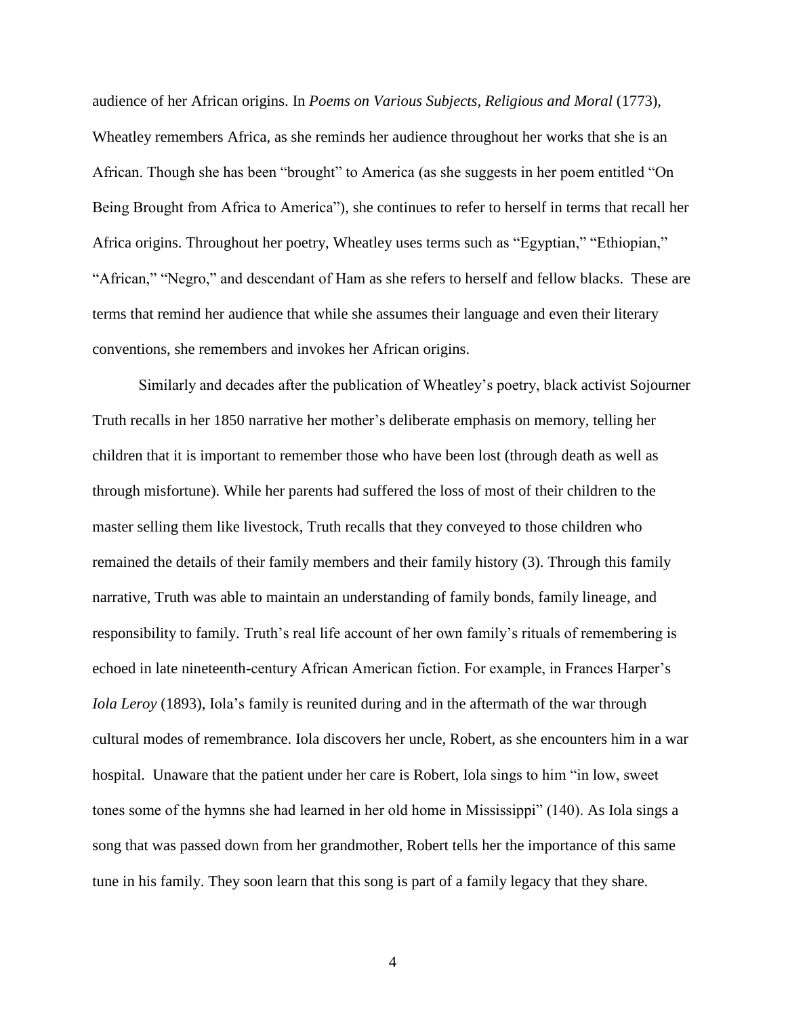audience of her African origins. In *Poems on Various Subjects, Religious and Moral* (1773), Wheatley remembers Africa, as she reminds her audience throughout her works that she is an African. Though she has been "brought" to America (as she suggests in her poem entitled "On Being Brought from Africa to America"), she continues to refer to herself in terms that recall her Africa origins. Throughout her poetry, Wheatley uses terms such as "Egyptian," "Ethiopian," "African," "Negro," and descendant of Ham as she refers to herself and fellow blacks. These are terms that remind her audience that while she assumes their language and even their literary conventions, she remembers and invokes her African origins.

Similarly and decades after the publication of Wheatley's poetry, black activist Sojourner Truth recalls in her 1850 narrative her mother's deliberate emphasis on memory, telling her children that it is important to remember those who have been lost (through death as well as through misfortune). While her parents had suffered the loss of most of their children to the master selling them like livestock, Truth recalls that they conveyed to those children who remained the details of their family members and their family history (3). Through this family narrative, Truth was able to maintain an understanding of family bonds, family lineage, and responsibility to family. Truth's real life account of her own family's rituals of remembering is echoed in late nineteenth-century African American fiction. For example, in Frances Harper's *Iola Leroy* (1893), Iola's family is reunited during and in the aftermath of the war through cultural modes of remembrance. Iola discovers her uncle, Robert, as she encounters him in a war hospital. Unaware that the patient under her care is Robert, Iola sings to him "in low, sweet tones some of the hymns she had learned in her old home in Mississippi" (140). As Iola sings a song that was passed down from her grandmother, Robert tells her the importance of this same tune in his family. They soon learn that this song is part of a family legacy that they share.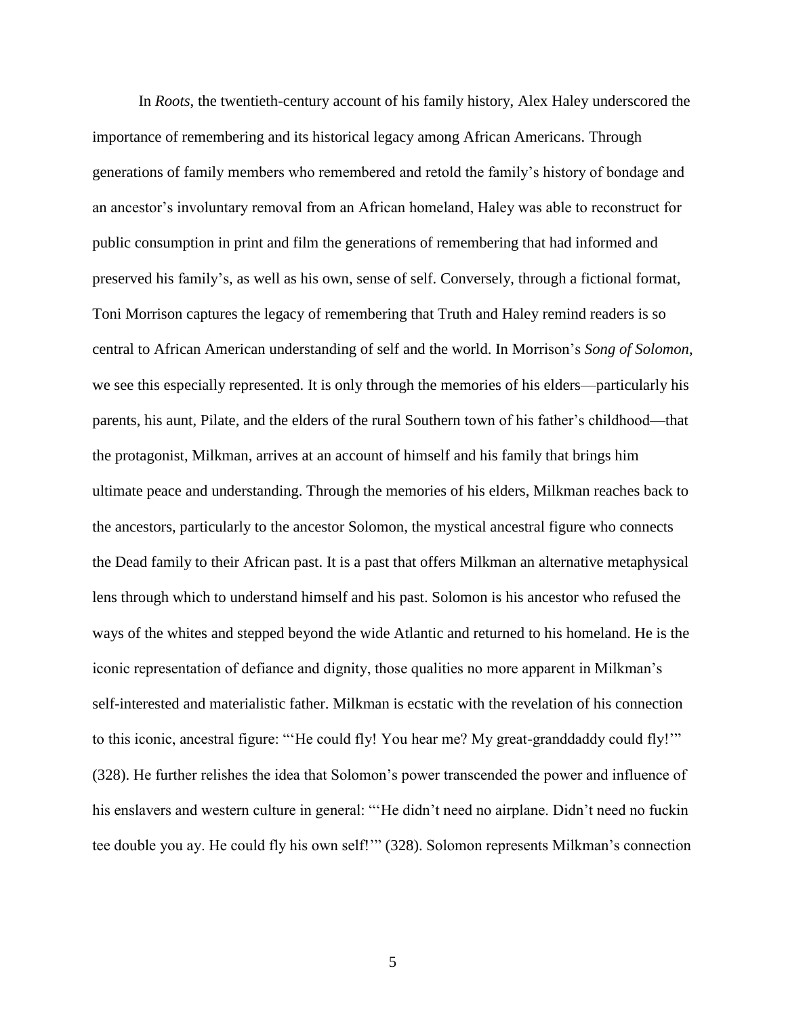In *Roots*, the twentieth-century account of his family history, Alex Haley underscored the importance of remembering and its historical legacy among African Americans. Through generations of family members who remembered and retold the family's history of bondage and an ancestor's involuntary removal from an African homeland, Haley was able to reconstruct for public consumption in print and film the generations of remembering that had informed and preserved his family's, as well as his own, sense of self. Conversely, through a fictional format, Toni Morrison captures the legacy of remembering that Truth and Haley remind readers is so central to African American understanding of self and the world. In Morrison's *Song of Solomon*, we see this especially represented. It is only through the memories of his elders—particularly his parents, his aunt, Pilate, and the elders of the rural Southern town of his father's childhood—that the protagonist, Milkman, arrives at an account of himself and his family that brings him ultimate peace and understanding. Through the memories of his elders, Milkman reaches back to the ancestors, particularly to the ancestor Solomon, the mystical ancestral figure who connects the Dead family to their African past. It is a past that offers Milkman an alternative metaphysical lens through which to understand himself and his past. Solomon is his ancestor who refused the ways of the whites and stepped beyond the wide Atlantic and returned to his homeland. He is the iconic representation of defiance and dignity, those qualities no more apparent in Milkman's self-interested and materialistic father. Milkman is ecstatic with the revelation of his connection to this iconic, ancestral figure: "'He could fly! You hear me? My great-granddaddy could fly!'" (328). He further relishes the idea that Solomon's power transcended the power and influence of his enslavers and western culture in general: "He didn't need no airplane. Didn't need no fuckin tee double you ay. He could fly his own self!'" (328). Solomon represents Milkman's connection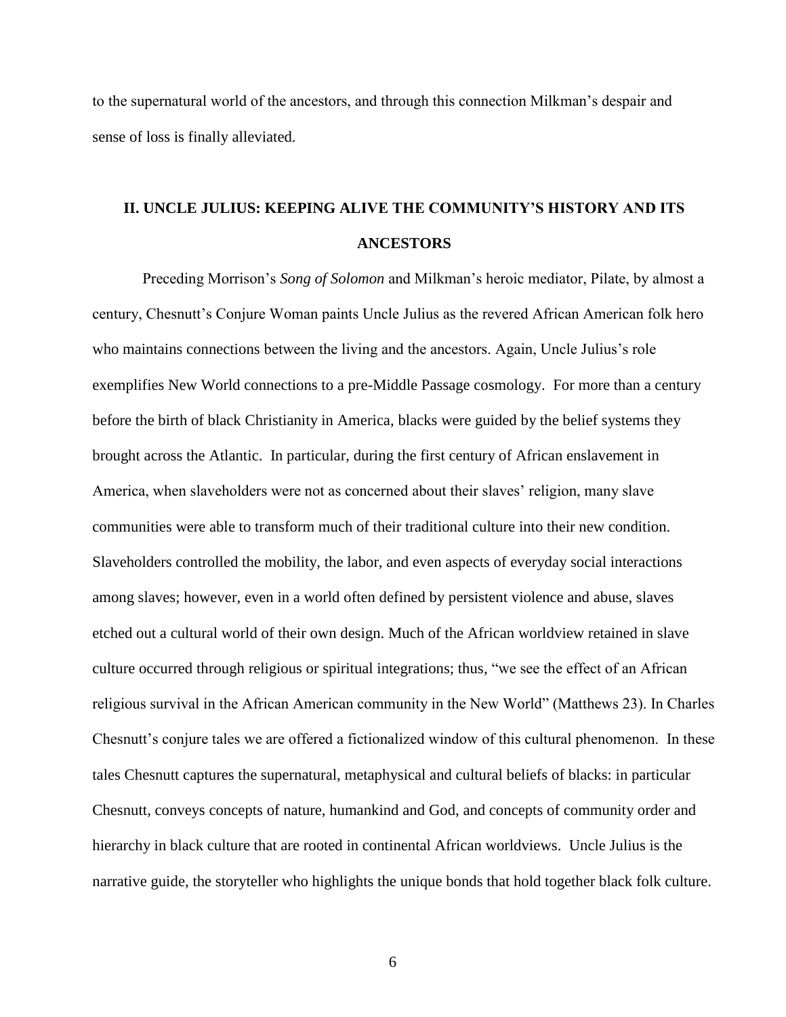to the supernatural world of the ancestors, and through this connection Milkman's despair and sense of loss is finally alleviated.

### **II. UNCLE JULIUS: KEEPING ALIVE THE COMMUNITY'S HISTORY AND ITS ANCESTORS**

Preceding Morrison's *Song of Solomon* and Milkman's heroic mediator, Pilate, by almost a century, Chesnutt's Conjure Woman paints Uncle Julius as the revered African American folk hero who maintains connections between the living and the ancestors. Again, Uncle Julius's role exemplifies New World connections to a pre-Middle Passage cosmology. For more than a century before the birth of black Christianity in America, blacks were guided by the belief systems they brought across the Atlantic. In particular, during the first century of African enslavement in America, when slaveholders were not as concerned about their slaves' religion, many slave communities were able to transform much of their traditional culture into their new condition. Slaveholders controlled the mobility, the labor, and even aspects of everyday social interactions among slaves; however, even in a world often defined by persistent violence and abuse, slaves etched out a cultural world of their own design. Much of the African worldview retained in slave culture occurred through religious or spiritual integrations; thus, "we see the effect of an African religious survival in the African American community in the New World" (Matthews 23). In Charles Chesnutt's conjure tales we are offered a fictionalized window of this cultural phenomenon. In these tales Chesnutt captures the supernatural, metaphysical and cultural beliefs of blacks: in particular Chesnutt, conveys concepts of nature, humankind and God, and concepts of community order and hierarchy in black culture that are rooted in continental African worldviews. Uncle Julius is the narrative guide, the storyteller who highlights the unique bonds that hold together black folk culture.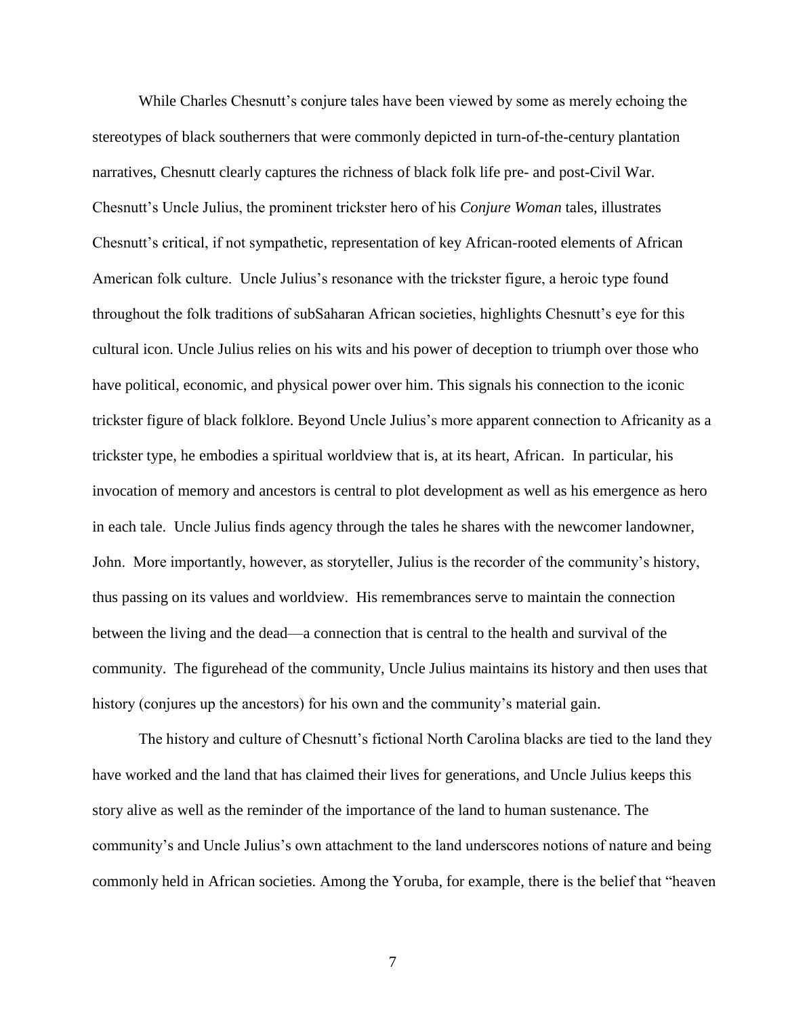While Charles Chesnutt's conjure tales have been viewed by some as merely echoing the stereotypes of black southerners that were commonly depicted in turn-of-the-century plantation narratives, Chesnutt clearly captures the richness of black folk life pre- and post-Civil War. Chesnutt's Uncle Julius, the prominent trickster hero of his *Conjure Woman* tales, illustrates Chesnutt's critical, if not sympathetic, representation of key African-rooted elements of African American folk culture. Uncle Julius's resonance with the trickster figure, a heroic type found throughout the folk traditions of subSaharan African societies, highlights Chesnutt's eye for this cultural icon. Uncle Julius relies on his wits and his power of deception to triumph over those who have political, economic, and physical power over him. This signals his connection to the iconic trickster figure of black folklore. Beyond Uncle Julius's more apparent connection to Africanity as a trickster type, he embodies a spiritual worldview that is, at its heart, African. In particular, his invocation of memory and ancestors is central to plot development as well as his emergence as hero in each tale. Uncle Julius finds agency through the tales he shares with the newcomer landowner, John. More importantly, however, as storyteller, Julius is the recorder of the community's history, thus passing on its values and worldview. His remembrances serve to maintain the connection between the living and the dead—a connection that is central to the health and survival of the community. The figurehead of the community, Uncle Julius maintains its history and then uses that history (conjures up the ancestors) for his own and the community's material gain.

The history and culture of Chesnutt's fictional North Carolina blacks are tied to the land they have worked and the land that has claimed their lives for generations, and Uncle Julius keeps this story alive as well as the reminder of the importance of the land to human sustenance. The community's and Uncle Julius's own attachment to the land underscores notions of nature and being commonly held in African societies. Among the Yoruba, for example, there is the belief that "heaven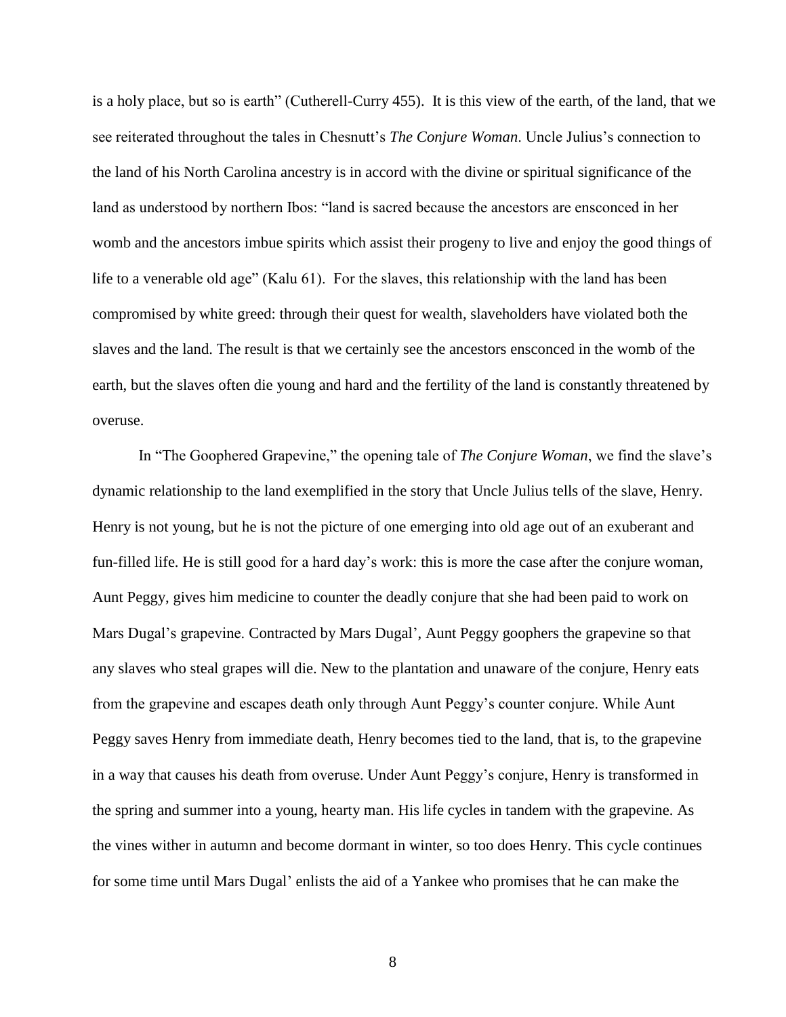is a holy place, but so is earth" (Cutherell-Curry 455). It is this view of the earth, of the land, that we see reiterated throughout the tales in Chesnutt's *The Conjure Woman*. Uncle Julius's connection to the land of his North Carolina ancestry is in accord with the divine or spiritual significance of the land as understood by northern Ibos: "land is sacred because the ancestors are ensconced in her womb and the ancestors imbue spirits which assist their progeny to live and enjoy the good things of life to a venerable old age" (Kalu 61). For the slaves, this relationship with the land has been compromised by white greed: through their quest for wealth, slaveholders have violated both the slaves and the land. The result is that we certainly see the ancestors ensconced in the womb of the earth, but the slaves often die young and hard and the fertility of the land is constantly threatened by overuse.

In "The Goophered Grapevine," the opening tale of *The Conjure Woman*, we find the slave's dynamic relationship to the land exemplified in the story that Uncle Julius tells of the slave, Henry. Henry is not young, but he is not the picture of one emerging into old age out of an exuberant and fun-filled life. He is still good for a hard day's work: this is more the case after the conjure woman, Aunt Peggy, gives him medicine to counter the deadly conjure that she had been paid to work on Mars Dugal's grapevine. Contracted by Mars Dugal', Aunt Peggy goophers the grapevine so that any slaves who steal grapes will die. New to the plantation and unaware of the conjure, Henry eats from the grapevine and escapes death only through Aunt Peggy's counter conjure. While Aunt Peggy saves Henry from immediate death, Henry becomes tied to the land, that is, to the grapevine in a way that causes his death from overuse. Under Aunt Peggy's conjure, Henry is transformed in the spring and summer into a young, hearty man. His life cycles in tandem with the grapevine. As the vines wither in autumn and become dormant in winter, so too does Henry. This cycle continues for some time until Mars Dugal' enlists the aid of a Yankee who promises that he can make the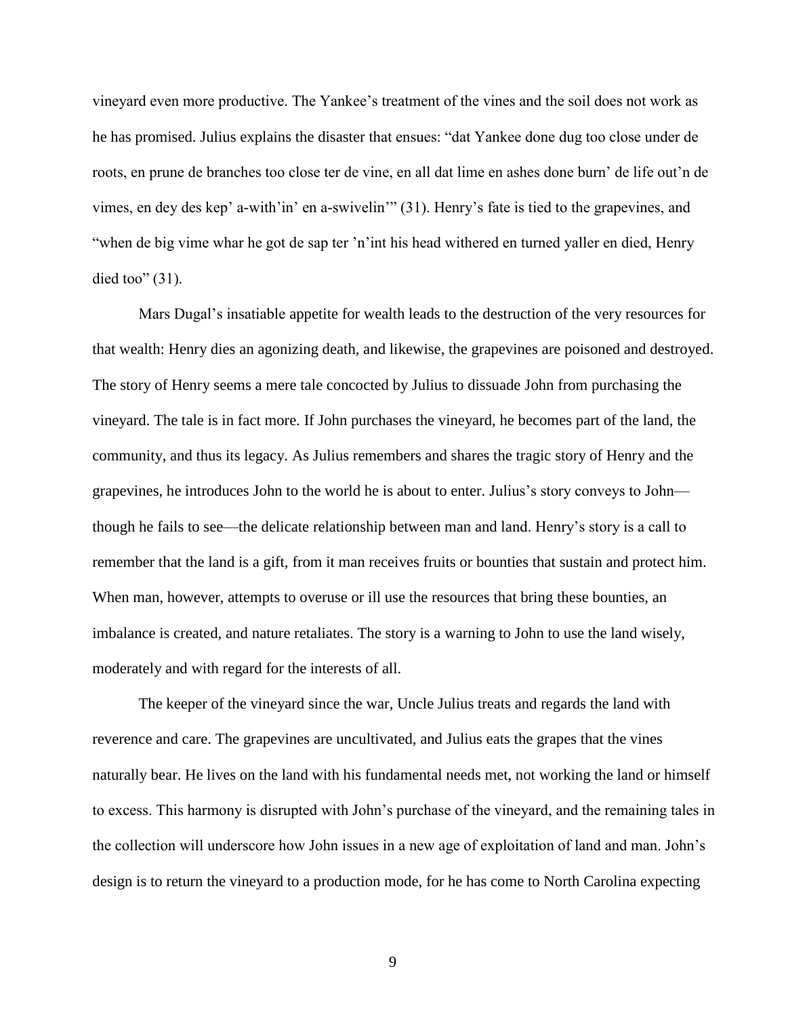vineyard even more productive. The Yankee's treatment of the vines and the soil does not work as he has promised. Julius explains the disaster that ensues: "dat Yankee done dug too close under de roots, en prune de branches too close ter de vine, en all dat lime en ashes done burn' de life out'n de vimes, en dey des kep' a-with'in' en a-swivelin'" (31). Henry's fate is tied to the grapevines, and "when de big vime whar he got de sap ter 'n'int his head withered en turned yaller en died, Henry died too"  $(31)$ .

Mars Dugal's insatiable appetite for wealth leads to the destruction of the very resources for that wealth: Henry dies an agonizing death, and likewise, the grapevines are poisoned and destroyed. The story of Henry seems a mere tale concocted by Julius to dissuade John from purchasing the vineyard. The tale is in fact more. If John purchases the vineyard, he becomes part of the land, the community, and thus its legacy. As Julius remembers and shares the tragic story of Henry and the grapevines, he introduces John to the world he is about to enter. Julius's story conveys to John though he fails to see—the delicate relationship between man and land. Henry's story is a call to remember that the land is a gift, from it man receives fruits or bounties that sustain and protect him. When man, however, attempts to overuse or ill use the resources that bring these bounties, an imbalance is created, and nature retaliates. The story is a warning to John to use the land wisely, moderately and with regard for the interests of all.

The keeper of the vineyard since the war, Uncle Julius treats and regards the land with reverence and care. The grapevines are uncultivated, and Julius eats the grapes that the vines naturally bear. He lives on the land with his fundamental needs met, not working the land or himself to excess. This harmony is disrupted with John's purchase of the vineyard, and the remaining tales in the collection will underscore how John issues in a new age of exploitation of land and man. John's design is to return the vineyard to a production mode, for he has come to North Carolina expecting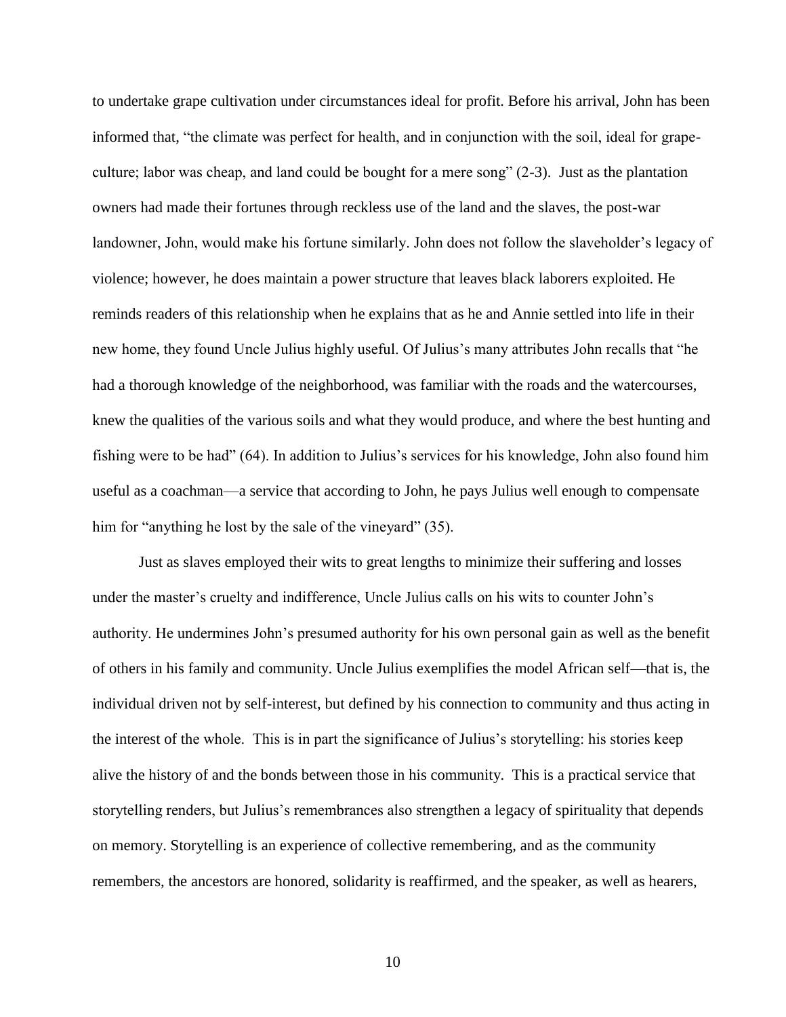to undertake grape cultivation under circumstances ideal for profit. Before his arrival, John has been informed that, "the climate was perfect for health, and in conjunction with the soil, ideal for grapeculture; labor was cheap, and land could be bought for a mere song" (2-3). Just as the plantation owners had made their fortunes through reckless use of the land and the slaves, the post-war landowner, John, would make his fortune similarly. John does not follow the slaveholder's legacy of violence; however, he does maintain a power structure that leaves black laborers exploited. He reminds readers of this relationship when he explains that as he and Annie settled into life in their new home, they found Uncle Julius highly useful. Of Julius's many attributes John recalls that "he had a thorough knowledge of the neighborhood, was familiar with the roads and the watercourses, knew the qualities of the various soils and what they would produce, and where the best hunting and fishing were to be had" (64). In addition to Julius's services for his knowledge, John also found him useful as a coachman—a service that according to John, he pays Julius well enough to compensate him for "anything he lost by the sale of the vineyard" (35).

Just as slaves employed their wits to great lengths to minimize their suffering and losses under the master's cruelty and indifference, Uncle Julius calls on his wits to counter John's authority. He undermines John's presumed authority for his own personal gain as well as the benefit of others in his family and community. Uncle Julius exemplifies the model African self—that is, the individual driven not by self-interest, but defined by his connection to community and thus acting in the interest of the whole. This is in part the significance of Julius's storytelling: his stories keep alive the history of and the bonds between those in his community. This is a practical service that storytelling renders, but Julius's remembrances also strengthen a legacy of spirituality that depends on memory. Storytelling is an experience of collective remembering, and as the community remembers, the ancestors are honored, solidarity is reaffirmed, and the speaker, as well as hearers,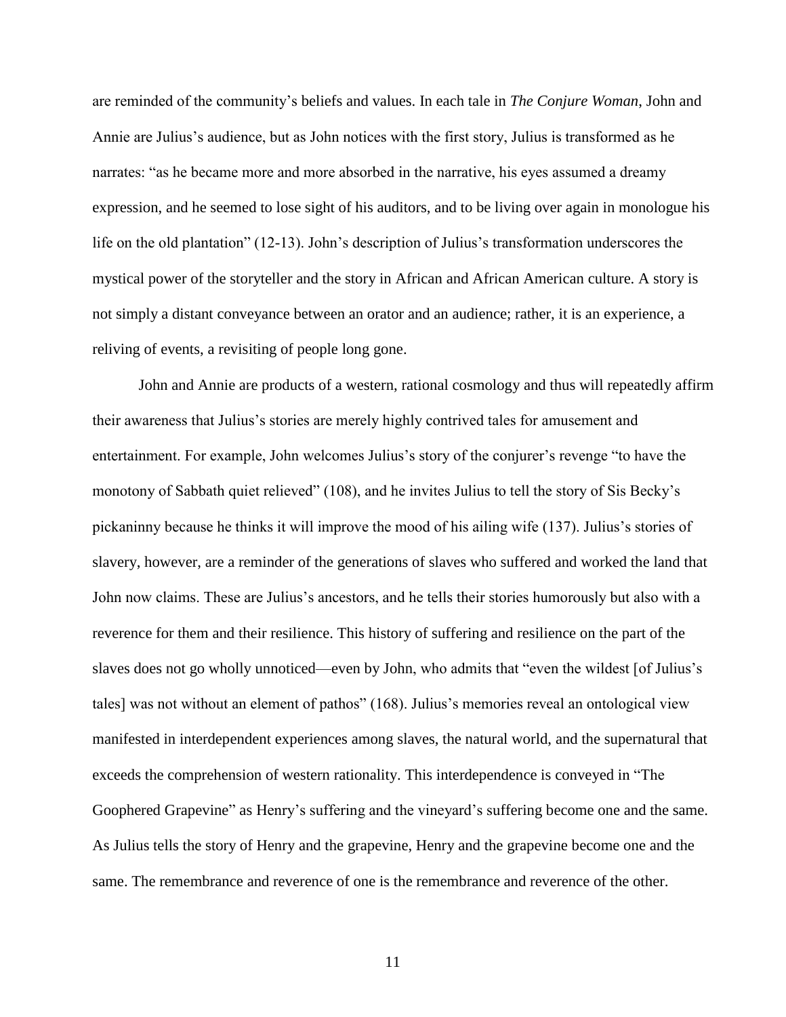are reminded of the community's beliefs and values. In each tale in *The Conjure Woman*, John and Annie are Julius's audience, but as John notices with the first story, Julius is transformed as he narrates: "as he became more and more absorbed in the narrative, his eyes assumed a dreamy expression, and he seemed to lose sight of his auditors, and to be living over again in monologue his life on the old plantation" (12-13). John's description of Julius's transformation underscores the mystical power of the storyteller and the story in African and African American culture. A story is not simply a distant conveyance between an orator and an audience; rather, it is an experience, a reliving of events, a revisiting of people long gone.

John and Annie are products of a western, rational cosmology and thus will repeatedly affirm their awareness that Julius's stories are merely highly contrived tales for amusement and entertainment. For example, John welcomes Julius's story of the conjurer's revenge "to have the monotony of Sabbath quiet relieved" (108), and he invites Julius to tell the story of Sis Becky's pickaninny because he thinks it will improve the mood of his ailing wife (137). Julius's stories of slavery, however, are a reminder of the generations of slaves who suffered and worked the land that John now claims. These are Julius's ancestors, and he tells their stories humorously but also with a reverence for them and their resilience. This history of suffering and resilience on the part of the slaves does not go wholly unnoticed—even by John, who admits that "even the wildest [of Julius's tales] was not without an element of pathos" (168). Julius's memories reveal an ontological view manifested in interdependent experiences among slaves, the natural world, and the supernatural that exceeds the comprehension of western rationality. This interdependence is conveyed in "The Goophered Grapevine" as Henry's suffering and the vineyard's suffering become one and the same. As Julius tells the story of Henry and the grapevine, Henry and the grapevine become one and the same. The remembrance and reverence of one is the remembrance and reverence of the other.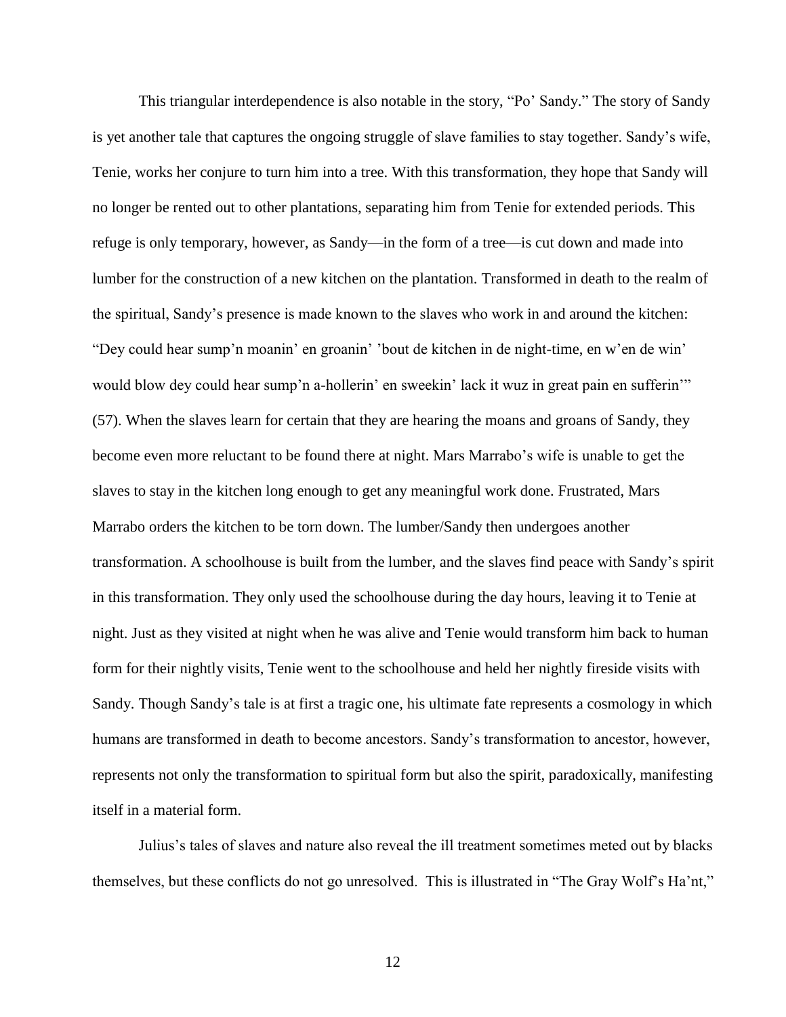This triangular interdependence is also notable in the story, "Po' Sandy." The story of Sandy is yet another tale that captures the ongoing struggle of slave families to stay together. Sandy's wife, Tenie, works her conjure to turn him into a tree. With this transformation, they hope that Sandy will no longer be rented out to other plantations, separating him from Tenie for extended periods. This refuge is only temporary, however, as Sandy—in the form of a tree—is cut down and made into lumber for the construction of a new kitchen on the plantation. Transformed in death to the realm of the spiritual, Sandy's presence is made known to the slaves who work in and around the kitchen: "Dey could hear sump'n moanin' en groanin' 'bout de kitchen in de night-time, en w'en de win' would blow dey could hear sump'n a-hollerin' en sweekin' lack it wuz in great pain en sufferin'" (57). When the slaves learn for certain that they are hearing the moans and groans of Sandy, they become even more reluctant to be found there at night. Mars Marrabo's wife is unable to get the slaves to stay in the kitchen long enough to get any meaningful work done. Frustrated, Mars Marrabo orders the kitchen to be torn down. The lumber/Sandy then undergoes another transformation. A schoolhouse is built from the lumber, and the slaves find peace with Sandy's spirit in this transformation. They only used the schoolhouse during the day hours, leaving it to Tenie at night. Just as they visited at night when he was alive and Tenie would transform him back to human form for their nightly visits, Tenie went to the schoolhouse and held her nightly fireside visits with Sandy. Though Sandy's tale is at first a tragic one, his ultimate fate represents a cosmology in which humans are transformed in death to become ancestors. Sandy's transformation to ancestor, however, represents not only the transformation to spiritual form but also the spirit, paradoxically, manifesting itself in a material form.

Julius's tales of slaves and nature also reveal the ill treatment sometimes meted out by blacks themselves, but these conflicts do not go unresolved. This is illustrated in "The Gray Wolf's Ha'nt,"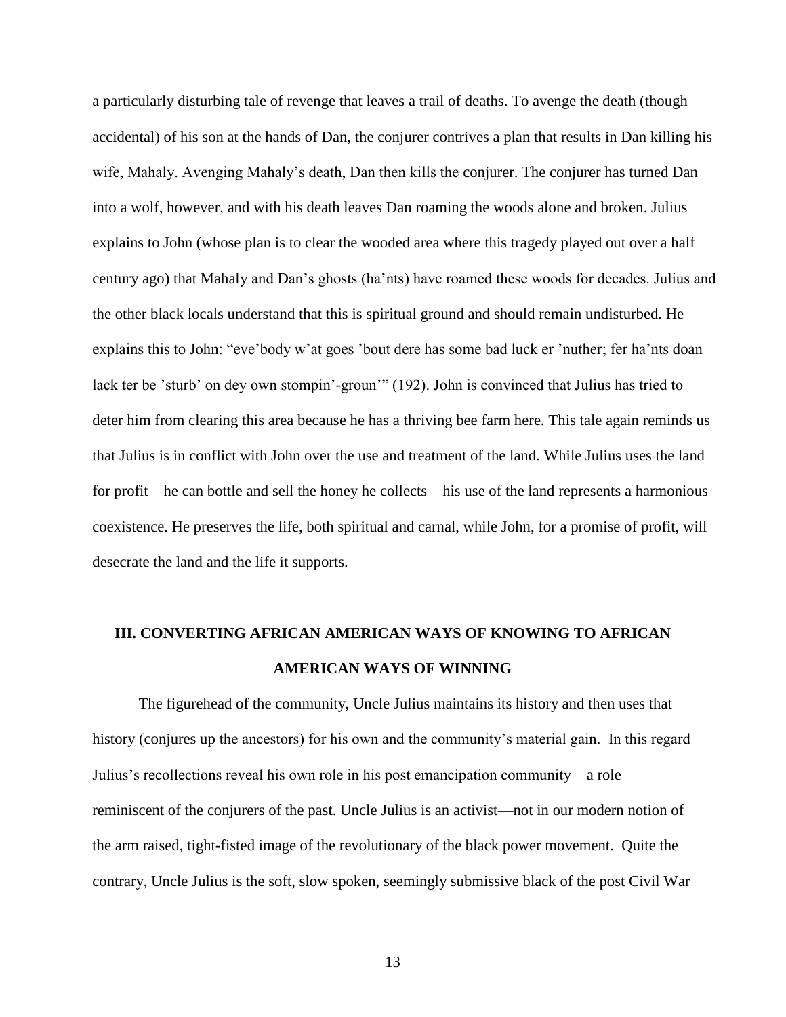a particularly disturbing tale of revenge that leaves a trail of deaths. To avenge the death (though accidental) of his son at the hands of Dan, the conjurer contrives a plan that results in Dan killing his wife, Mahaly. Avenging Mahaly's death, Dan then kills the conjurer. The conjurer has turned Dan into a wolf, however, and with his death leaves Dan roaming the woods alone and broken. Julius explains to John (whose plan is to clear the wooded area where this tragedy played out over a half century ago) that Mahaly and Dan's ghosts (ha'nts) have roamed these woods for decades. Julius and the other black locals understand that this is spiritual ground and should remain undisturbed. He explains this to John: "eve'body w'at goes 'bout dere has some bad luck er 'nuther; fer ha'nts doan lack ter be 'sturb' on dey own stompin'-groun'" (192). John is convinced that Julius has tried to deter him from clearing this area because he has a thriving bee farm here. This tale again reminds us that Julius is in conflict with John over the use and treatment of the land. While Julius uses the land for profit—he can bottle and sell the honey he collects—his use of the land represents a harmonious coexistence. He preserves the life, both spiritual and carnal, while John, for a promise of profit, will desecrate the land and the life it supports.

## **III. CONVERTING AFRICAN AMERICAN WAYS OF KNOWING TO AFRICAN AMERICAN WAYS OF WINNING**

The figurehead of the community, Uncle Julius maintains its history and then uses that history (conjures up the ancestors) for his own and the community's material gain. In this regard Julius's recollections reveal his own role in his post emancipation community—a role reminiscent of the conjurers of the past. Uncle Julius is an activist—not in our modern notion of the arm raised, tight-fisted image of the revolutionary of the black power movement. Quite the contrary, Uncle Julius is the soft, slow spoken, seemingly submissive black of the post Civil War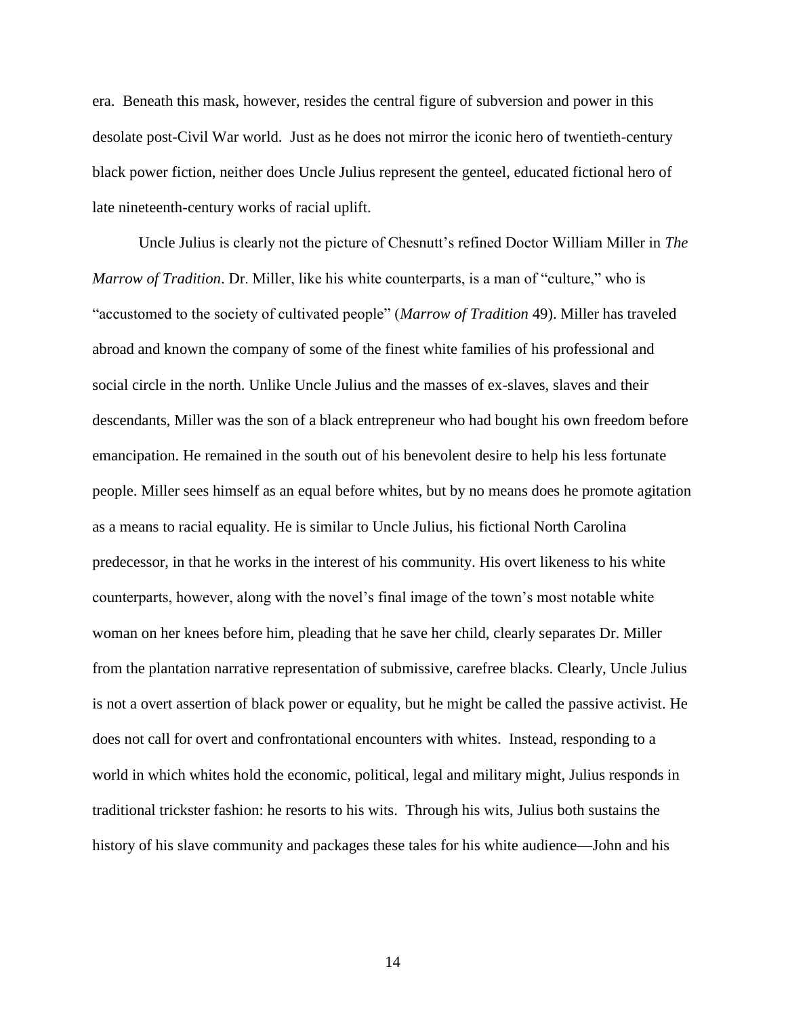era. Beneath this mask, however, resides the central figure of subversion and power in this desolate post-Civil War world. Just as he does not mirror the iconic hero of twentieth-century black power fiction, neither does Uncle Julius represent the genteel, educated fictional hero of late nineteenth-century works of racial uplift.

Uncle Julius is clearly not the picture of Chesnutt's refined Doctor William Miller in *The Marrow of Tradition*. Dr. Miller, like his white counterparts, is a man of "culture," who is "accustomed to the society of cultivated people" (*Marrow of Tradition* 49). Miller has traveled abroad and known the company of some of the finest white families of his professional and social circle in the north. Unlike Uncle Julius and the masses of ex-slaves, slaves and their descendants, Miller was the son of a black entrepreneur who had bought his own freedom before emancipation. He remained in the south out of his benevolent desire to help his less fortunate people. Miller sees himself as an equal before whites, but by no means does he promote agitation as a means to racial equality. He is similar to Uncle Julius, his fictional North Carolina predecessor, in that he works in the interest of his community. His overt likeness to his white counterparts, however, along with the novel's final image of the town's most notable white woman on her knees before him, pleading that he save her child, clearly separates Dr. Miller from the plantation narrative representation of submissive, carefree blacks. Clearly, Uncle Julius is not a overt assertion of black power or equality, but he might be called the passive activist. He does not call for overt and confrontational encounters with whites. Instead, responding to a world in which whites hold the economic, political, legal and military might, Julius responds in traditional trickster fashion: he resorts to his wits. Through his wits, Julius both sustains the history of his slave community and packages these tales for his white audience—John and his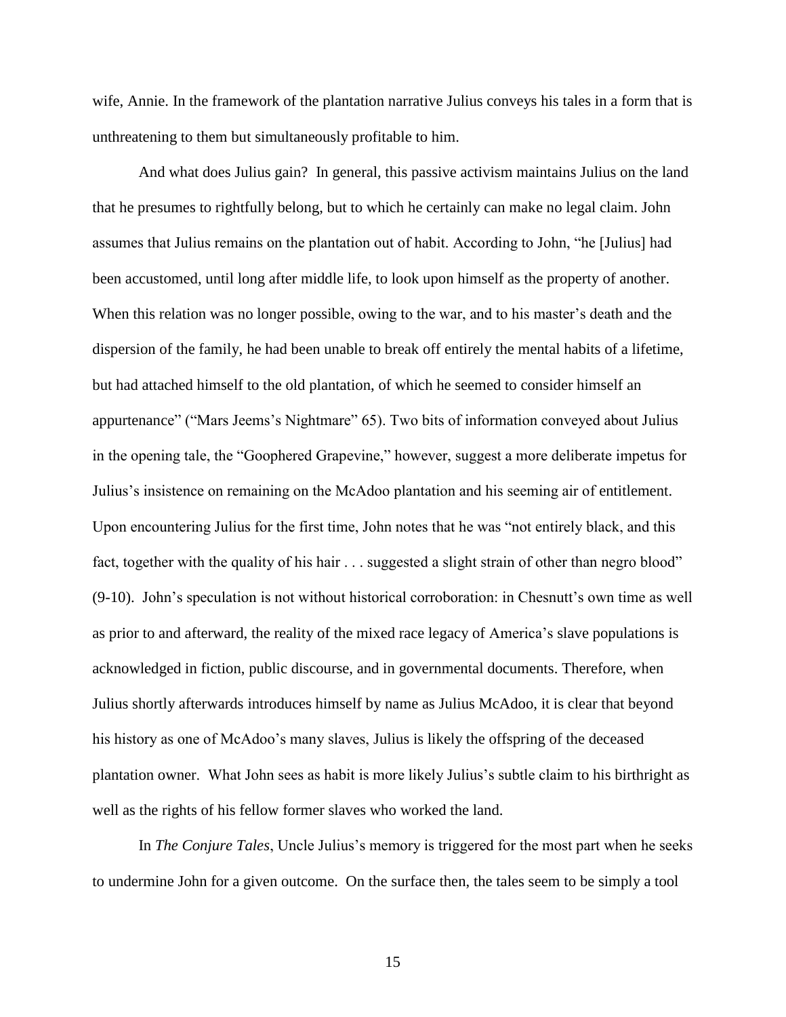wife, Annie. In the framework of the plantation narrative Julius conveys his tales in a form that is unthreatening to them but simultaneously profitable to him.

And what does Julius gain? In general, this passive activism maintains Julius on the land that he presumes to rightfully belong, but to which he certainly can make no legal claim. John assumes that Julius remains on the plantation out of habit. According to John, "he [Julius] had been accustomed, until long after middle life, to look upon himself as the property of another. When this relation was no longer possible, owing to the war, and to his master's death and the dispersion of the family, he had been unable to break off entirely the mental habits of a lifetime, but had attached himself to the old plantation, of which he seemed to consider himself an appurtenance" ("Mars Jeems's Nightmare" 65). Two bits of information conveyed about Julius in the opening tale, the "Goophered Grapevine," however, suggest a more deliberate impetus for Julius's insistence on remaining on the McAdoo plantation and his seeming air of entitlement. Upon encountering Julius for the first time, John notes that he was "not entirely black, and this fact, together with the quality of his hair . . . suggested a slight strain of other than negro blood" (9-10). John's speculation is not without historical corroboration: in Chesnutt's own time as well as prior to and afterward, the reality of the mixed race legacy of America's slave populations is acknowledged in fiction, public discourse, and in governmental documents. Therefore, when Julius shortly afterwards introduces himself by name as Julius McAdoo, it is clear that beyond his history as one of McAdoo's many slaves, Julius is likely the offspring of the deceased plantation owner. What John sees as habit is more likely Julius's subtle claim to his birthright as well as the rights of his fellow former slaves who worked the land.

In *The Conjure Tales*, Uncle Julius's memory is triggered for the most part when he seeks to undermine John for a given outcome. On the surface then, the tales seem to be simply a tool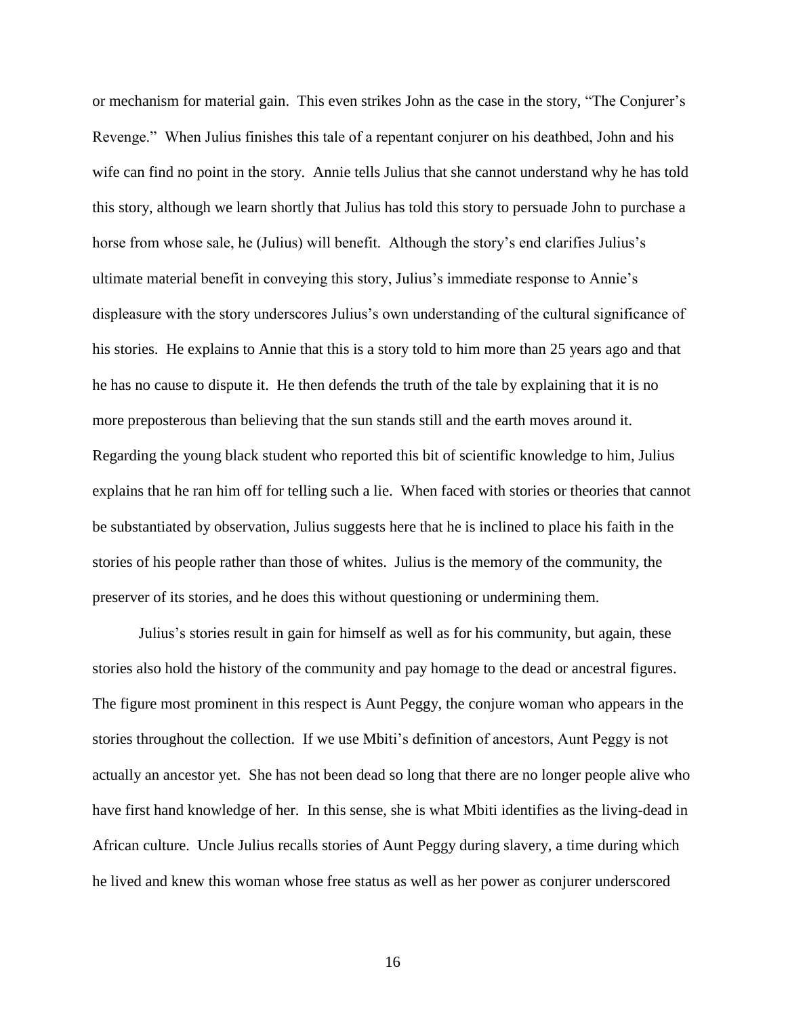or mechanism for material gain. This even strikes John as the case in the story, "The Conjurer's Revenge." When Julius finishes this tale of a repentant conjurer on his deathbed, John and his wife can find no point in the story. Annie tells Julius that she cannot understand why he has told this story, although we learn shortly that Julius has told this story to persuade John to purchase a horse from whose sale, he (Julius) will benefit. Although the story's end clarifies Julius's ultimate material benefit in conveying this story, Julius's immediate response to Annie's displeasure with the story underscores Julius's own understanding of the cultural significance of his stories. He explains to Annie that this is a story told to him more than 25 years ago and that he has no cause to dispute it. He then defends the truth of the tale by explaining that it is no more preposterous than believing that the sun stands still and the earth moves around it. Regarding the young black student who reported this bit of scientific knowledge to him, Julius explains that he ran him off for telling such a lie. When faced with stories or theories that cannot be substantiated by observation, Julius suggests here that he is inclined to place his faith in the stories of his people rather than those of whites. Julius is the memory of the community, the preserver of its stories, and he does this without questioning or undermining them.

Julius's stories result in gain for himself as well as for his community, but again, these stories also hold the history of the community and pay homage to the dead or ancestral figures. The figure most prominent in this respect is Aunt Peggy, the conjure woman who appears in the stories throughout the collection. If we use Mbiti's definition of ancestors, Aunt Peggy is not actually an ancestor yet. She has not been dead so long that there are no longer people alive who have first hand knowledge of her. In this sense, she is what Mbiti identifies as the living-dead in African culture. Uncle Julius recalls stories of Aunt Peggy during slavery, a time during which he lived and knew this woman whose free status as well as her power as conjurer underscored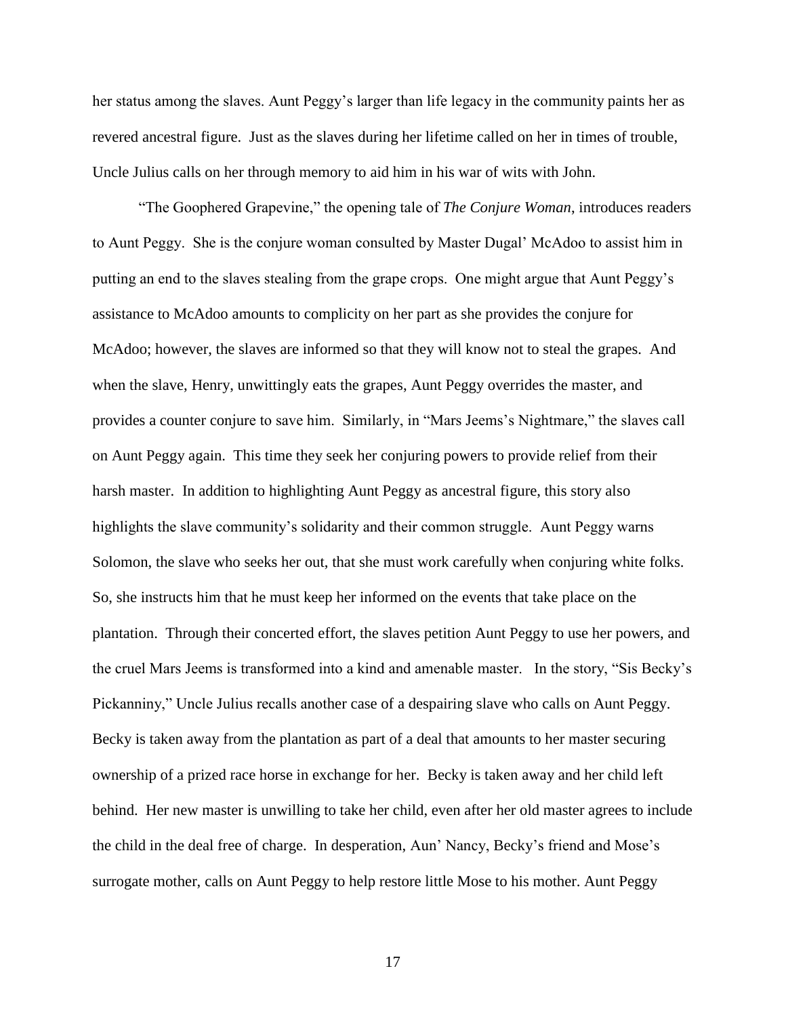her status among the slaves. Aunt Peggy's larger than life legacy in the community paints her as revered ancestral figure. Just as the slaves during her lifetime called on her in times of trouble, Uncle Julius calls on her through memory to aid him in his war of wits with John.

"The Goophered Grapevine," the opening tale of *The Conjure Woman*, introduces readers to Aunt Peggy. She is the conjure woman consulted by Master Dugal' McAdoo to assist him in putting an end to the slaves stealing from the grape crops. One might argue that Aunt Peggy's assistance to McAdoo amounts to complicity on her part as she provides the conjure for McAdoo; however, the slaves are informed so that they will know not to steal the grapes. And when the slave, Henry, unwittingly eats the grapes, Aunt Peggy overrides the master, and provides a counter conjure to save him. Similarly, in "Mars Jeems's Nightmare," the slaves call on Aunt Peggy again. This time they seek her conjuring powers to provide relief from their harsh master. In addition to highlighting Aunt Peggy as ancestral figure, this story also highlights the slave community's solidarity and their common struggle. Aunt Peggy warns Solomon, the slave who seeks her out, that she must work carefully when conjuring white folks. So, she instructs him that he must keep her informed on the events that take place on the plantation. Through their concerted effort, the slaves petition Aunt Peggy to use her powers, and the cruel Mars Jeems is transformed into a kind and amenable master. In the story, "Sis Becky's Pickanniny," Uncle Julius recalls another case of a despairing slave who calls on Aunt Peggy. Becky is taken away from the plantation as part of a deal that amounts to her master securing ownership of a prized race horse in exchange for her. Becky is taken away and her child left behind. Her new master is unwilling to take her child, even after her old master agrees to include the child in the deal free of charge. In desperation, Aun' Nancy, Becky's friend and Mose's surrogate mother, calls on Aunt Peggy to help restore little Mose to his mother. Aunt Peggy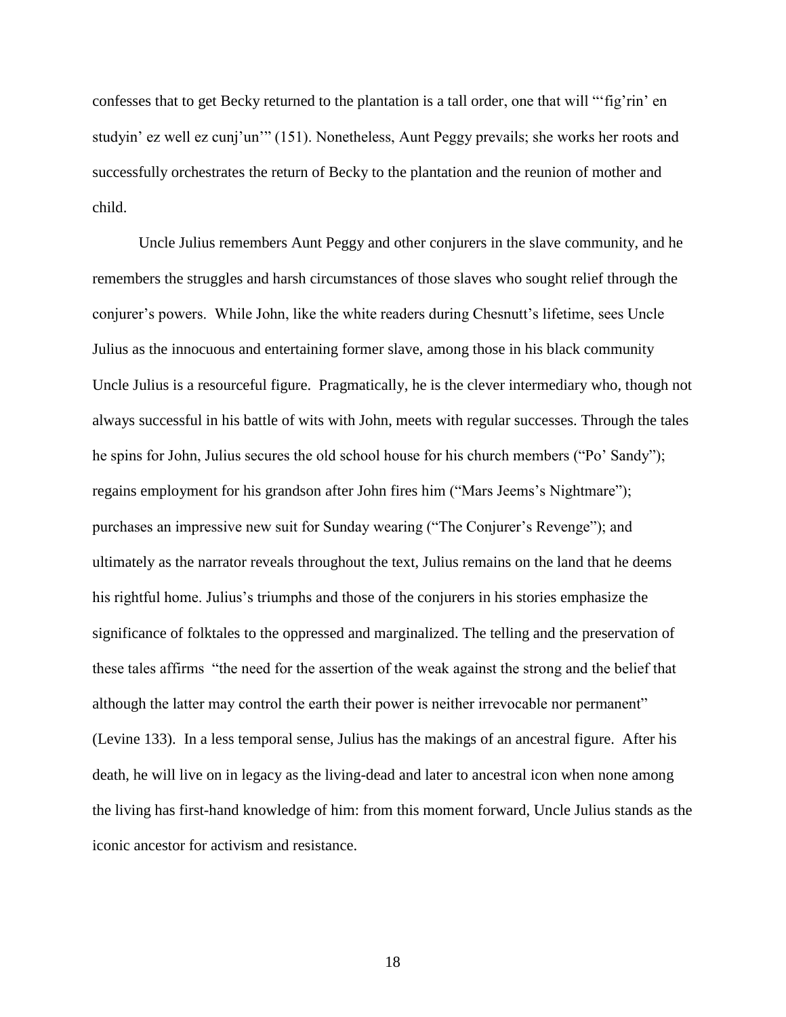confesses that to get Becky returned to the plantation is a tall order, one that will "'fig'rin' en studyin' ez well ez cunj'un'" (151). Nonetheless, Aunt Peggy prevails; she works her roots and successfully orchestrates the return of Becky to the plantation and the reunion of mother and child.

Uncle Julius remembers Aunt Peggy and other conjurers in the slave community, and he remembers the struggles and harsh circumstances of those slaves who sought relief through the conjurer's powers. While John, like the white readers during Chesnutt's lifetime, sees Uncle Julius as the innocuous and entertaining former slave, among those in his black community Uncle Julius is a resourceful figure. Pragmatically, he is the clever intermediary who, though not always successful in his battle of wits with John, meets with regular successes. Through the tales he spins for John, Julius secures the old school house for his church members ("Po' Sandy"); regains employment for his grandson after John fires him ("Mars Jeems's Nightmare"); purchases an impressive new suit for Sunday wearing ("The Conjurer's Revenge"); and ultimately as the narrator reveals throughout the text, Julius remains on the land that he deems his rightful home. Julius's triumphs and those of the conjurers in his stories emphasize the significance of folktales to the oppressed and marginalized. The telling and the preservation of these tales affirms "the need for the assertion of the weak against the strong and the belief that although the latter may control the earth their power is neither irrevocable nor permanent" (Levine 133). In a less temporal sense, Julius has the makings of an ancestral figure. After his death, he will live on in legacy as the living-dead and later to ancestral icon when none among the living has first-hand knowledge of him: from this moment forward, Uncle Julius stands as the iconic ancestor for activism and resistance.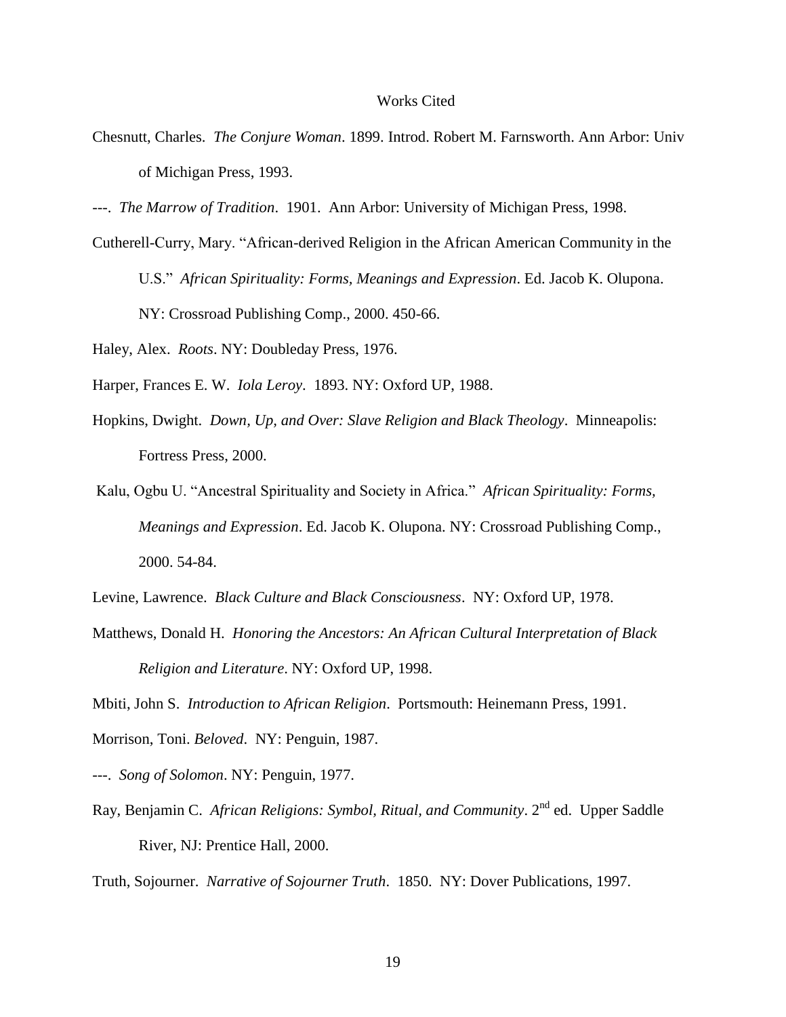#### Works Cited

- Chesnutt, Charles. *The Conjure Woman*. 1899. Introd. Robert M. Farnsworth. Ann Arbor: Univ of Michigan Press, 1993.
- ---. *The Marrow of Tradition*. 1901. Ann Arbor: University of Michigan Press, 1998.
- Cutherell-Curry, Mary. "African-derived Religion in the African American Community in the U.S." *African Spirituality: Forms, Meanings and Expression*. Ed. Jacob K. Olupona. NY: Crossroad Publishing Comp., 2000. 450-66.
- Haley, Alex. *Roots*. NY: Doubleday Press, 1976.
- Harper, Frances E. W. *Iola Leroy*. 1893. NY: Oxford UP, 1988.
- Hopkins, Dwight. *Down, Up, and Over: Slave Religion and Black Theology*. Minneapolis: Fortress Press, 2000.
- Kalu, Ogbu U. "Ancestral Spirituality and Society in Africa." *African Spirituality: Forms, Meanings and Expression*. Ed. Jacob K. Olupona. NY: Crossroad Publishing Comp., 2000. 54-84.
- Levine, Lawrence. *Black Culture and Black Consciousness*. NY: Oxford UP, 1978.
- Matthews, Donald H. *Honoring the Ancestors: An African Cultural Interpretation of Black Religion and Literature*. NY: Oxford UP, 1998.

Mbiti, John S. *Introduction to African Religion*. Portsmouth: Heinemann Press, 1991.

- Morrison, Toni. *Beloved*. NY: Penguin, 1987.
- ---. *Song of Solomon*. NY: Penguin, 1977.
- Ray, Benjamin C. *African Religions: Symbol, Ritual, and Community*. 2<sup>nd</sup> ed. Upper Saddle River, NJ: Prentice Hall, 2000.

Truth, Sojourner. *Narrative of Sojourner Truth*. 1850. NY: Dover Publications, 1997.